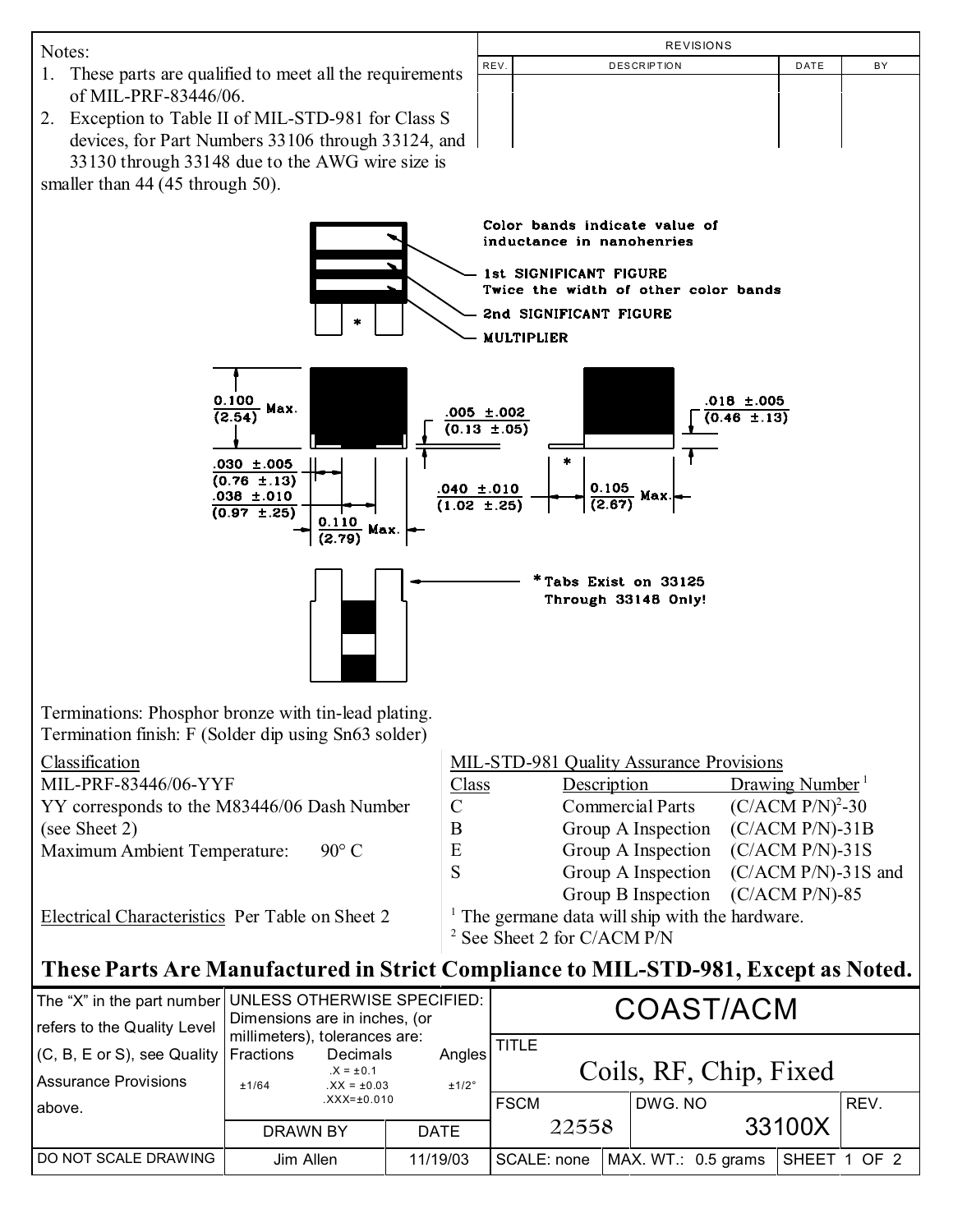

| refers to the Quality Level                                    | Dimensions are in inches, (or<br>millimeters), tolerances are: |                                             |                 | <b>UUAJI/AUM</b> |       |  |                        |              |      |
|----------------------------------------------------------------|----------------------------------------------------------------|---------------------------------------------|-----------------|------------------|-------|--|------------------------|--------------|------|
| $(C, B, E \text{ or } S),$ see Quality<br>Assurance Provisions | Fractions<br>±1/64                                             | Decimals<br>$.X = ±0.1$<br>$.XX = \pm 0.03$ | Angles<br>±1/2° | TITLE            |       |  | Coils, RF, Chip, Fixed |              |      |
| l above.                                                       |                                                                | $XXX = \pm 0.010$                           |                 | <b>FSCM</b>      |       |  | DWG. NO                |              | REV. |
|                                                                | DRAWN BY                                                       |                                             | <b>DATE</b>     |                  | 22558 |  |                        | 33100X       |      |
| <b>I DO NOT SCALE DRAWING</b>                                  | Jim Allen                                                      |                                             | 11/19/03        | SCALE: none      |       |  | MAX. WT.: 0.5 grams    | SHEET 1 OF 2 |      |